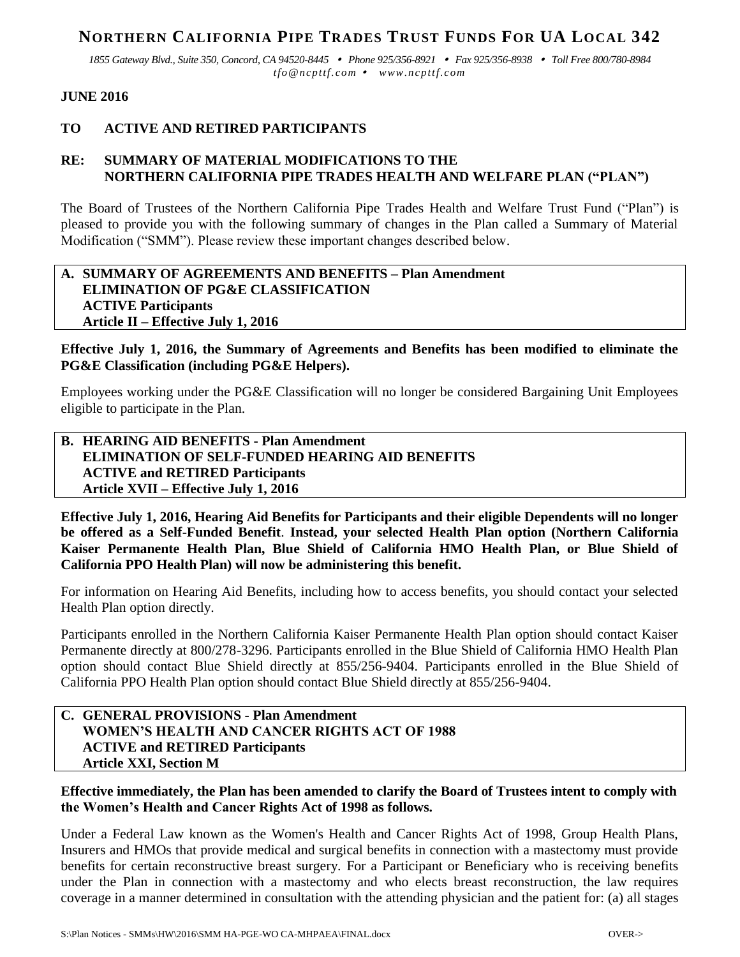# **NORTHERN CALIFORNIA PIPE TRADES TRUST FUNDS FOR UA LOCAL 342**

*1855 Gateway Blvd., Suite 350, Concord, CA 94520-8445 Phone 925/356-8921 Fax 925/356-8938 Toll Free 800/780-8984 tfo@ncpttf.com www.ncpttf.com*

#### **JUNE 2016**

# **TO ACTIVE AND RETIRED PARTICIPANTS**

# **RE: SUMMARY OF MATERIAL MODIFICATIONS TO THE NORTHERN CALIFORNIA PIPE TRADES HEALTH AND WELFARE PLAN ("PLAN")**

The Board of Trustees of the Northern California Pipe Trades Health and Welfare Trust Fund ("Plan") is pleased to provide you with the following summary of changes in the Plan called a Summary of Material Modification ("SMM"). Please review these important changes described below.

## **A. SUMMARY OF AGREEMENTS AND BENEFITS – Plan Amendment ELIMINATION OF PG&E CLASSIFICATION ACTIVE Participants Article II – Effective July 1, 2016**

#### **Effective July 1, 2016, the Summary of Agreements and Benefits has been modified to eliminate the PG&E Classification (including PG&E Helpers).**

Employees working under the PG&E Classification will no longer be considered Bargaining Unit Employees eligible to participate in the Plan.

## **B. HEARING AID BENEFITS - Plan Amendment ELIMINATION OF SELF-FUNDED HEARING AID BENEFITS ACTIVE and RETIRED Participants Article XVII – Effective July 1, 2016**

**Effective July 1, 2016, Hearing Aid Benefits for Participants and their eligible Dependents will no longer be offered as a Self-Funded Benefit**. **Instead, your selected Health Plan option (Northern California Kaiser Permanente Health Plan, Blue Shield of California HMO Health Plan, or Blue Shield of California PPO Health Plan) will now be administering this benefit.**

For information on Hearing Aid Benefits, including how to access benefits, you should contact your selected Health Plan option directly.

Participants enrolled in the Northern California Kaiser Permanente Health Plan option should contact Kaiser Permanente directly at 800/278-3296. Participants enrolled in the Blue Shield of California HMO Health Plan option should contact Blue Shield directly at 855/256-9404. Participants enrolled in the Blue Shield of California PPO Health Plan option should contact Blue Shield directly at 855/256-9404.

## **C. GENERAL PROVISIONS - Plan Amendment WOMEN'S HEALTH AND CANCER RIGHTS ACT OF 1988 ACTIVE and RETIRED Participants Article XXI, Section M**

**Effective immediately, the Plan has been amended to clarify the Board of Trustees intent to comply with the Women's Health and Cancer Rights Act of 1998 as follows.**

Under a Federal Law known as the Women's Health and Cancer Rights Act of 1998, Group Health Plans, Insurers and HMOs that provide medical and surgical benefits in connection with a mastectomy must provide benefits for certain reconstructive breast surgery. For a Participant or Beneficiary who is receiving benefits under the Plan in connection with a mastectomy and who elects breast reconstruction, the law requires coverage in a manner determined in consultation with the attending physician and the patient for: (a) all stages